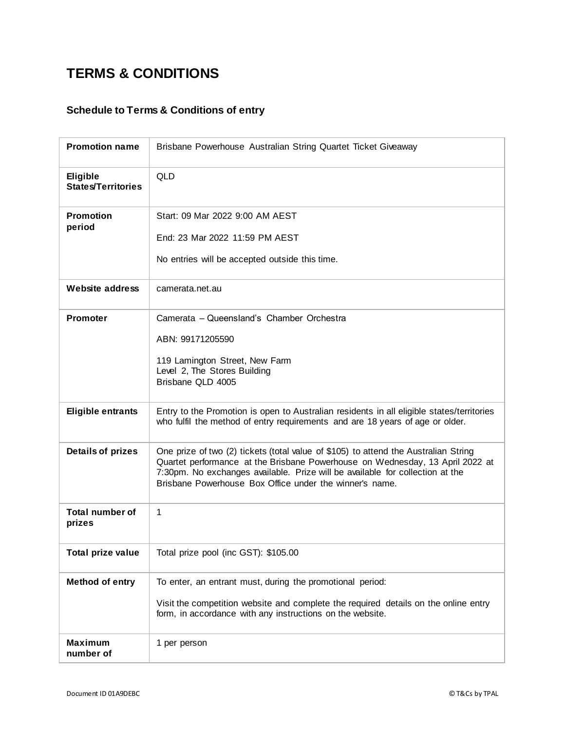## **TERMS & CONDITIONS**

## **Schedule to Terms & Conditions of entry**

| <b>Promotion name</b>                 | Brisbane Powerhouse Australian String Quartet Ticket Giveaway                                                                                                                                                                                                                                                    |
|---------------------------------------|------------------------------------------------------------------------------------------------------------------------------------------------------------------------------------------------------------------------------------------------------------------------------------------------------------------|
| Eligible<br><b>States/Territories</b> | <b>QLD</b>                                                                                                                                                                                                                                                                                                       |
| <b>Promotion</b><br>period            | Start: 09 Mar 2022 9:00 AM AEST<br>End: 23 Mar 2022 11:59 PM AEST<br>No entries will be accepted outside this time.                                                                                                                                                                                              |
| <b>Website address</b>                | camerata.net.au                                                                                                                                                                                                                                                                                                  |
| <b>Promoter</b>                       | Camerata - Queensland's Chamber Orchestra<br>ABN: 99171205590<br>119 Lamington Street, New Farm<br>Level 2, The Stores Building<br>Brisbane QLD 4005                                                                                                                                                             |
| <b>Eligible entrants</b>              | Entry to the Promotion is open to Australian residents in all eligible states/territories<br>who fulfil the method of entry requirements and are 18 years of age or older.                                                                                                                                       |
| <b>Details of prizes</b>              | One prize of two (2) tickets (total value of \$105) to attend the Australian String<br>Quartet performance at the Brisbane Powerhouse on Wednesday, 13 April 2022 at<br>7:30pm. No exchanges available. Prize will be available for collection at the<br>Brisbane Powerhouse Box Office under the winner's name. |
| <b>Total number of</b><br>prizes      | $\mathbf{1}$                                                                                                                                                                                                                                                                                                     |
| Total prize value                     | Total prize pool (inc GST): \$105.00                                                                                                                                                                                                                                                                             |
| <b>Method of entry</b>                | To enter, an entrant must, during the promotional period:<br>Visit the competition website and complete the required details on the online entry<br>form, in accordance with any instructions on the website.                                                                                                    |
| <b>Maximum</b><br>number of           | 1 per person                                                                                                                                                                                                                                                                                                     |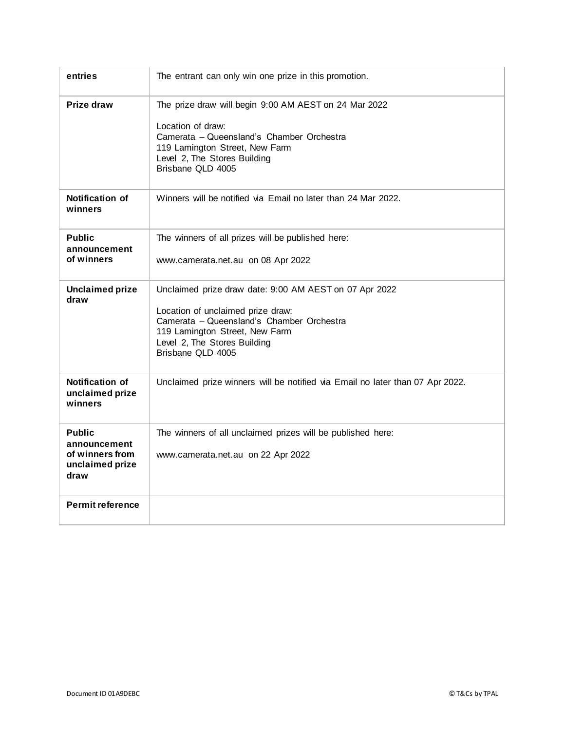| entries                                                                     | The entrant can only win one prize in this promotion.                                                                                                                                                                           |
|-----------------------------------------------------------------------------|---------------------------------------------------------------------------------------------------------------------------------------------------------------------------------------------------------------------------------|
| Prize draw                                                                  | The prize draw will begin 9:00 AM AEST on 24 Mar 2022<br>Location of draw:<br>Camerata - Queensland's Chamber Orchestra<br>119 Lamington Street, New Farm<br>Level 2, The Stores Building<br>Brisbane QLD 4005                  |
| <b>Notification of</b><br>winners                                           | Winners will be notified via Email no later than 24 Mar 2022.                                                                                                                                                                   |
| <b>Public</b><br>announcement<br>of winners                                 | The winners of all prizes will be published here:<br>www.camerata.net.au on 08 Apr 2022                                                                                                                                         |
| <b>Unclaimed prize</b><br>draw                                              | Unclaimed prize draw date: 9:00 AM AEST on 07 Apr 2022<br>Location of unclaimed prize draw:<br>Camerata - Queensland's Chamber Orchestra<br>119 Lamington Street, New Farm<br>Level 2, The Stores Building<br>Brisbane QLD 4005 |
| <b>Notification of</b><br>unclaimed prize<br>winners                        | Unclaimed prize winners will be notified via Email no later than 07 Apr 2022.                                                                                                                                                   |
| <b>Public</b><br>announcement<br>of winners from<br>unclaimed prize<br>draw | The winners of all unclaimed prizes will be published here:<br>www.camerata.net.au on 22 Apr 2022                                                                                                                               |
| <b>Permit reference</b>                                                     |                                                                                                                                                                                                                                 |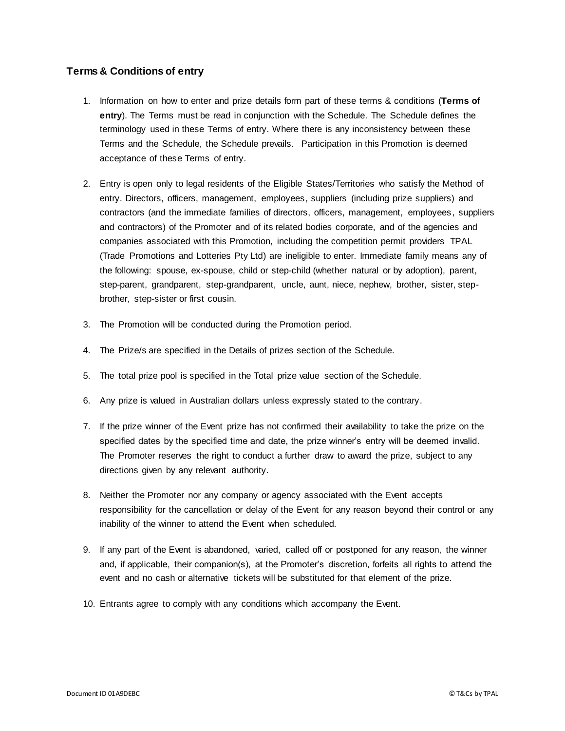## **Terms & Conditions of entry**

- 1. Information on how to enter and prize details form part of these terms & conditions (**Terms of entry**). The Terms must be read in conjunction with the Schedule. The Schedule defines the terminology used in these Terms of entry. Where there is any inconsistency between these Terms and the Schedule, the Schedule prevails. Participation in this Promotion is deemed acceptance of these Terms of entry.
- 2. Entry is open only to legal residents of the Eligible States/Territories who satisfy the Method of entry. Directors, officers, management, employees, suppliers (including prize suppliers) and contractors (and the immediate families of directors, officers, management, employees, suppliers and contractors) of the Promoter and of its related bodies corporate, and of the agencies and companies associated with this Promotion, including the competition permit providers [TPAL](https://www.tpal.com.au/?utm_source=TCs-chance-doc) (Trade Promotions and Lotteries Pty Ltd) are ineligible to enter. Immediate family means any of the following: spouse, ex-spouse, child or step-child (whether natural or by adoption), parent, step-parent, grandparent, step-grandparent, uncle, aunt, niece, nephew, brother, sister, stepbrother, step-sister or first cousin.
- 3. The Promotion will be conducted during the Promotion period.
- 4. The Prize/s are specified in the Details of prizes section of the Schedule.
- 5. The total prize pool is specified in the Total prize value section of the Schedule.
- 6. Any prize is valued in Australian dollars unless expressly stated to the contrary.
- 7. If the prize winner of the Event prize has not confirmed their availability to take the prize on the specified dates by the specified time and date, the prize winner's entry will be deemed invalid. The Promoter reserves the right to conduct a further draw to award the prize, subject to any directions given by any relevant authority.
- 8. Neither the Promoter nor any company or agency associated with the Event accepts responsibility for the cancellation or delay of the Event for any reason beyond their control or any inability of the winner to attend the Event when scheduled.
- 9. If any part of the Event is abandoned, varied, called off or postponed for any reason, the winner and, if applicable, their companion(s), at the Promoter's discretion, forfeits all rights to attend the event and no cash or alternative tickets will be substituted for that element of the prize.
- 10. Entrants agree to comply with any conditions which accompany the Event.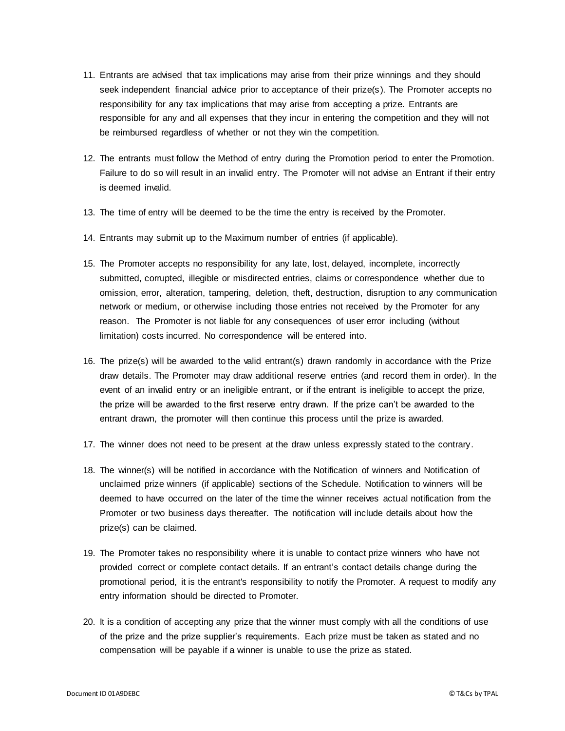- 11. Entrants are advised that tax implications may arise from their prize winnings and they should seek independent financial advice prior to acceptance of their prize(s). The Promoter accepts no responsibility for any tax implications that may arise from accepting a prize. Entrants are responsible for any and all expenses that they incur in entering the competition and they will not be reimbursed regardless of whether or not they win the competition.
- 12. The entrants must follow the Method of entry during the Promotion period to enter the Promotion. Failure to do so will result in an invalid entry. The Promoter will not advise an Entrant if their entry is deemed invalid.
- 13. The time of entry will be deemed to be the time the entry is received by the Promoter.
- 14. Entrants may submit up to the Maximum number of entries (if applicable).
- 15. The Promoter accepts no responsibility for any late, lost, delayed, incomplete, incorrectly submitted, corrupted, illegible or misdirected entries, claims or correspondence whether due to omission, error, alteration, tampering, deletion, theft, destruction, disruption to any communication network or medium, or otherwise including those entries not received by the Promoter for any reason. The Promoter is not liable for any consequences of user error including (without limitation) costs incurred. No correspondence will be entered into.
- 16. The prize(s) will be awarded to the valid entrant(s) drawn randomly in accordance with the Prize draw details. The Promoter may draw additional reserve entries (and record them in order). In the event of an invalid entry or an ineligible entrant, or if the entrant is ineligible to accept the prize, the prize will be awarded to the first reserve entry drawn. If the prize can't be awarded to the entrant drawn, the promoter will then continue this process until the prize is awarded.
- 17. The winner does not need to be present at the draw unless expressly stated to the contrary.
- 18. The winner(s) will be notified in accordance with the Notification of winners and Notification of unclaimed prize winners (if applicable) sections of the Schedule. Notification to winners will be deemed to have occurred on the later of the time the winner receives actual notification from the Promoter or two business days thereafter. The notification will include details about how the prize(s) can be claimed.
- 19. The Promoter takes no responsibility where it is unable to contact prize winners who have not provided correct or complete contact details. If an entrant's contact details change during the promotional period, it is the entrant's responsibility to notify the Promoter. A request to modify any entry information should be directed to Promoter.
- 20. It is a condition of accepting any prize that the winner must comply with all the conditions of use of the prize and the prize supplier's requirements. Each prize must be taken as stated and no compensation will be payable if a winner is unable to use the prize as stated.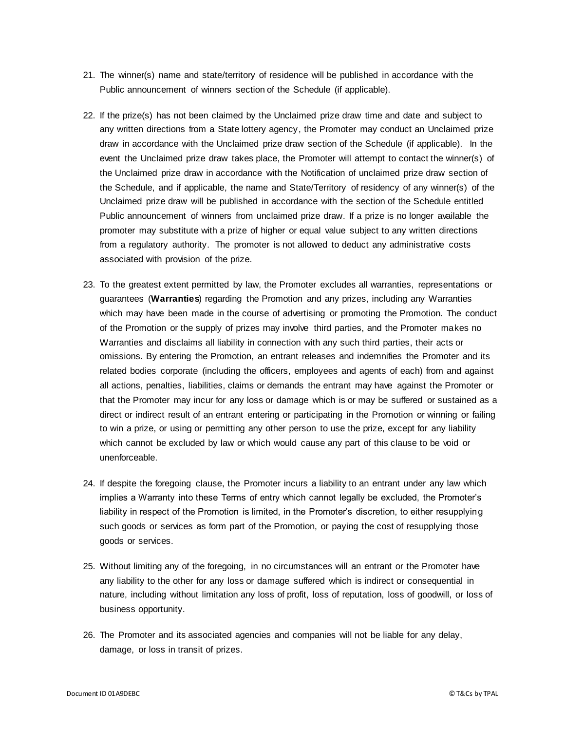- 21. The winner(s) name and state/territory of residence will be published in accordance with the Public announcement of winners section of the Schedule (if applicable).
- 22. If the prize(s) has not been claimed by the Unclaimed prize draw time and date and subject to any written directions from a State lottery agency, the Promoter may conduct an Unclaimed prize draw in accordance with the Unclaimed prize draw section of the Schedule (if applicable). In the event the Unclaimed prize draw takes place, the Promoter will attempt to contact the winner(s) of the Unclaimed prize draw in accordance with the Notification of unclaimed prize draw section of the Schedule, and if applicable, the name and State/Territory of residency of any winner(s) of the Unclaimed prize draw will be published in accordance with the section of the Schedule entitled Public announcement of winners from unclaimed prize draw. If a prize is no longer available the promoter may substitute with a prize of higher or equal value subject to any written directions from a regulatory authority. The promoter is not allowed to deduct any administrative costs associated with provision of the prize.
- 23. To the greatest extent permitted by law, the Promoter excludes all warranties, representations or guarantees (**Warranties**) regarding the Promotion and any prizes, including any Warranties which may have been made in the course of advertising or promoting the Promotion. The conduct of the Promotion or the supply of prizes may involve third parties, and the Promoter makes no Warranties and disclaims all liability in connection with any such third parties, their acts or omissions. By entering the Promotion, an entrant releases and indemnifies the Promoter and its related bodies corporate (including the officers, employees and agents of each) from and against all actions, penalties, liabilities, claims or demands the entrant may have against the Promoter or that the Promoter may incur for any loss or damage which is or may be suffered or sustained as a direct or indirect result of an entrant entering or participating in the Promotion or winning or failing to win a prize, or using or permitting any other person to use the prize, except for any liability which cannot be excluded by law or which would cause any part of this clause to be void or unenforceable.
- 24. If despite the foregoing clause, the Promoter incurs a liability to an entrant under any law which implies a Warranty into these Terms of entry which cannot legally be excluded, the Promoter's liability in respect of the Promotion is limited, in the Promoter's discretion, to either resupplying such goods or services as form part of the Promotion, or paying the cost of resupplying those goods or services.
- 25. Without limiting any of the foregoing, in no circumstances will an entrant or the Promoter have any liability to the other for any loss or damage suffered which is indirect or consequential in nature, including without limitation any loss of profit, loss of reputation, loss of goodwill, or loss of business opportunity.
- 26. The Promoter and its associated agencies and companies will not be liable for any delay, damage, or loss in transit of prizes.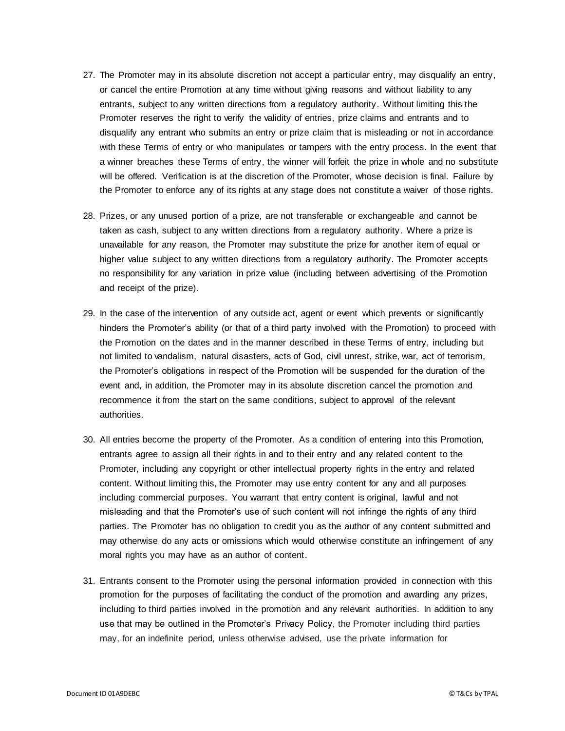- 27. The Promoter may in its absolute discretion not accept a particular entry, may disqualify an entry, or cancel the entire Promotion at any time without giving reasons and without liability to any entrants, subject to any written directions from a regulatory authority. Without limiting this the Promoter reserves the right to verify the validity of entries, prize claims and entrants and to disqualify any entrant who submits an entry or prize claim that is misleading or not in accordance with these Terms of entry or who manipulates or tampers with the entry process. In the event that a winner breaches these Terms of entry, the winner will forfeit the prize in whole and no substitute will be offered. Verification is at the discretion of the Promoter, whose decision is final. Failure by the Promoter to enforce any of its rights at any stage does not constitute a waiver of those rights.
- 28. Prizes, or any unused portion of a prize, are not transferable or exchangeable and cannot be taken as cash, subject to any written directions from a regulatory authority. Where a prize is unavailable for any reason, the Promoter may substitute the prize for another item of equal or higher value subject to any written directions from a regulatory authority. The Promoter accepts no responsibility for any variation in prize value (including between advertising of the Promotion and receipt of the prize).
- 29. In the case of the intervention of any outside act, agent or event which prevents or significantly hinders the Promoter's ability (or that of a third party involved with the Promotion) to proceed with the Promotion on the dates and in the manner described in these Terms of entry, including but not limited to vandalism, natural disasters, acts of God, civil unrest, strike, war, act of terrorism, the Promoter's obligations in respect of the Promotion will be suspended for the duration of the event and, in addition, the Promoter may in its absolute discretion cancel the promotion and recommence it from the start on the same conditions, subject to approval of the relevant authorities.
- 30. All entries become the property of the Promoter. As a condition of entering into this Promotion, entrants agree to assign all their rights in and to their entry and any related content to the Promoter, including any copyright or other intellectual property rights in the entry and related content. Without limiting this, the Promoter may use entry content for any and all purposes including commercial purposes. You warrant that entry content is original, lawful and not misleading and that the Promoter's use of such content will not infringe the rights of any third parties. The Promoter has no obligation to credit you as the author of any content submitted and may otherwise do any acts or omissions which would otherwise constitute an infringement of any moral rights you may have as an author of content.
- 31. Entrants consent to the Promoter using the personal information provided in connection with this promotion for the purposes of facilitating the conduct of the promotion and awarding any prizes, including to third parties involved in the promotion and any relevant authorities. In addition to any use that may be outlined in the Promoter's Privacy Policy, the Promoter including third parties may, for an indefinite period, unless otherwise advised, use the private information for